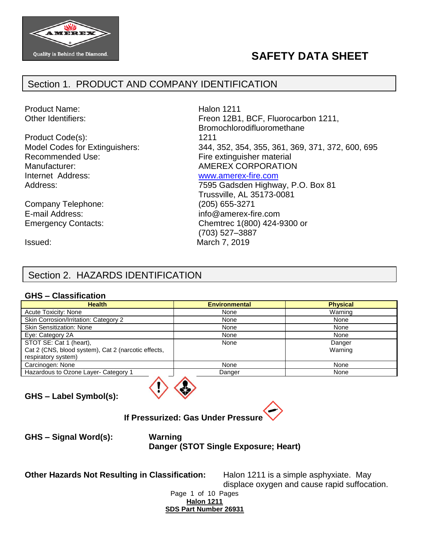

# **SAFETY DATA SHEET**

## Section 1. PRODUCT AND COMPANY IDENTIFICATION

Product Name: National Product Name: National Product Name: National Product National Product National Product

Product Code(s): 1211 Recommended Use: Fire extinguisher material Manufacturer:  $\blacksquare$  AMEREX CORPORATION Internet Address: [www.amerex-fire.com](http://www.amerex-fire.com/)

Company Telephone: (205) 655-3271 E-mail Address: info@amerex-fire.com

Other Identifiers: Charlotters: Freon 12B1, BCF, Fluorocarbon 1211, Bromochlorodifluoromethane Model Codes for Extinguishers: 344, 352, 354, 355, 361, 369, 371, 372, 600, 695 Address: Mathematic Mathematic Metal Control of T595 Gadsden Highway, P.O. Box 81

Trussville, AL 35173-0081 Emergency Contacts: Chemtrec 1(800) 424-9300 or (703) 527–3887 Issued: March 7, 2019

## Section 2. HAZARDS IDENTIFICATION

#### **GHS – Classification**

| <b>Health</b>                                       | <b>Environmental</b> | <b>Physical</b> |
|-----------------------------------------------------|----------------------|-----------------|
| Acute Toxicity: None                                | None                 | Warning         |
| Skin Corrosion/Irritation: Category 2               | None                 | None            |
| <b>Skin Sensitization: None</b>                     | None                 | None            |
| Eye: Category 2A                                    | None                 | None            |
| STOT SE: Cat 1 (heart),                             | None                 | Danger          |
| Cat 2 (CNS, blood system), Cat 2 (narcotic effects, |                      | Warning         |
| respiratory system)                                 |                      |                 |
| Carcinogen: None                                    | None                 | None            |
| Hazardous to Ozone Layer- Category 1                | Danger               | None            |
|                                                     |                      |                 |

**GHS – Label Symbol(s):**



**If Pressurized: Gas Under Pressure**

**GHS – Signal Word(s): Warning**

**Danger (STOT Single Exposure; Heart)**

**Other Hazards Not Resulting in Classification:** Halon 1211 is a simple asphyxiate. May

displace oxygen and cause rapid suffocation.

Page 1 of 10 Pages **Halon 1211 SDS Part Number 26931**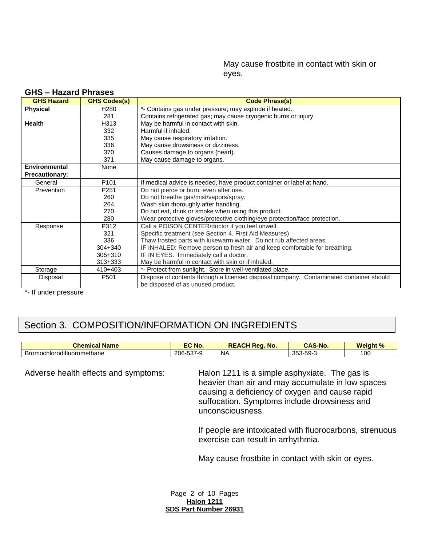May cause frostbite in contact with skin or eyes.

| <b>GHS Hazard</b>     | <b>GHS Codes(s)</b> | <b>Code Phrase(s)</b>                                                                  |
|-----------------------|---------------------|----------------------------------------------------------------------------------------|
| <b>Physical</b>       | H <sub>280</sub>    | *- Contains gas under pressure; may explode if heated.                                 |
|                       | 281                 | Contains refrigerated gas; may cause cryogenic burns or injury.                        |
| Health                | H313                | May be harmful in contact with skin.                                                   |
|                       | 332                 | Harmful if inhaled.                                                                    |
|                       | 335                 | May cause respiratory irritation.                                                      |
|                       | 336                 | May cause drowsiness or dizziness.                                                     |
|                       | 370                 | Causes damage to organs (heart).                                                       |
|                       | 371                 | May cause damage to organs.                                                            |
| Environmental         | None                |                                                                                        |
| <b>Precautionary:</b> |                     |                                                                                        |
| General               | P <sub>101</sub>    | If medical advice is needed, have product container or label at hand.                  |
| Prevention            | P <sub>251</sub>    | Do not pierce or burn, even after use.                                                 |
|                       | 260                 | Do not breathe gas/mist/vapors/spray.                                                  |
|                       | 264                 | Wash skin thoroughly after handling.                                                   |
|                       | 270                 | Do not eat, drink or smoke when using this product.                                    |
|                       | 280                 | Wear protective gloves/protective clothing/eye protection/face protection.             |
| Response              | P312                | Call a POISON CENTER/doctor if you feel unwell.                                        |
|                       | 321                 | Specific treatment (see Section 4. First Aid Measures)                                 |
|                       | 336                 | Thaw frosted parts with lukewarm water. Do not rub affected areas.                     |
|                       | $304 + 340$         | IF INHALED: Remove person to fresh air and keep comfortable for breathing.             |
|                       | 305+310             | IF IN EYES: Immediately call a doctor.                                                 |
|                       | $313 + 333$         | May be harmful in contact with skin or if inhaled.                                     |
| Storage               | 410+403             | *- Protect from sunlight. Store in well-ventilated place.                              |
| Disposal              | P501                | Dispose of contents through a licensed disposal company. Contaminated container should |
|                       |                     | be disposed of as unused product.                                                      |

#### **GHS – Hazard Phrases**

\*- If under pressure

## Section 3. COMPOSITION/INFORMATION ON INGREDIENTS

| --<br>Chem<br><b>Name</b><br>. i m<br>этнсаг | No.                         | No.<br>$M$ $\sim$<br><b>DE</b><br>$\mathbf{v}$<br>$\zeta$ eo | '-Nc                  | <b>Weight %</b><br>70 |
|----------------------------------------------|-----------------------------|--------------------------------------------------------------|-----------------------|-----------------------|
| $\cdots$<br>--<br>Bromochlorodifluoromethane | $-0$<br>$206 -$<br>. ఎర7-'' | <b>NA</b>                                                    | $\sim$<br>-ეყ-კ<br>ここ | 00                    |

Adverse health effects and symptoms: Halon 1211 is a simple asphyxiate. The gas is heavier than air and may accumulate in low spaces causing a deficiency of oxygen and cause rapid suffocation. Symptoms include drowsiness and unconsciousness.

> If people are intoxicated with fluorocarbons, strenuous exercise can result in arrhythmia.

May cause frostbite in contact with skin or eyes.

Page 2 of 10 Pages **Halon 1211 SDS Part Number 26931**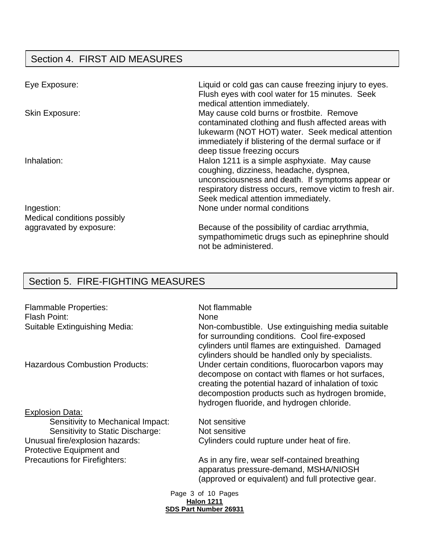# Section 4. FIRST AID MEASURES

| Eye Exposure:               | Liquid or cold gas can cause freezing injury to eyes.<br>Flush eyes with cool water for 15 minutes. Seek<br>medical attention immediately.                                                                                                     |
|-----------------------------|------------------------------------------------------------------------------------------------------------------------------------------------------------------------------------------------------------------------------------------------|
| <b>Skin Exposure:</b>       | May cause cold burns or frostbite. Remove<br>contaminated clothing and flush affected areas with<br>lukewarm (NOT HOT) water. Seek medical attention<br>immediately if blistering of the dermal surface or if                                  |
|                             | deep tissue freezing occurs                                                                                                                                                                                                                    |
| Inhalation:                 | Halon 1211 is a simple asphyxiate. May cause<br>coughing, dizziness, headache, dyspnea,<br>unconsciousness and death. If symptoms appear or<br>respiratory distress occurs, remove victim to fresh air.<br>Seek medical attention immediately. |
| Ingestion:                  | None under normal conditions                                                                                                                                                                                                                   |
| Medical conditions possibly |                                                                                                                                                                                                                                                |
| aggravated by exposure:     | Because of the possibility of cardiac arrythmia,<br>sympathomimetic drugs such as epinephrine should<br>not be administered.                                                                                                                   |

# Section 5. FIRE-FIGHTING MEASURES

| <b>Flammable Properties:</b><br>Flash Point:                | Not flammable<br><b>None</b>                                                                                                                                                                                                                                   |
|-------------------------------------------------------------|----------------------------------------------------------------------------------------------------------------------------------------------------------------------------------------------------------------------------------------------------------------|
| Suitable Extinguishing Media:                               | Non-combustible. Use extinguishing media suitable<br>for surrounding conditions. Cool fire-exposed<br>cylinders until flames are extinguished. Damaged<br>cylinders should be handled only by specialists.                                                     |
| <b>Hazardous Combustion Products:</b>                       | Under certain conditions, fluorocarbon vapors may<br>decompose on contact with flames or hot surfaces,<br>creating the potential hazard of inhalation of toxic<br>decompostion products such as hydrogen bromide,<br>hydrogen fluoride, and hydrogen chloride. |
| <b>Explosion Data:</b>                                      |                                                                                                                                                                                                                                                                |
| Sensitivity to Mechanical Impact:                           | Not sensitive                                                                                                                                                                                                                                                  |
| Sensitivity to Static Discharge:                            | Not sensitive                                                                                                                                                                                                                                                  |
| Unusual fire/explosion hazards:<br>Protective Equipment and | Cylinders could rupture under heat of fire.                                                                                                                                                                                                                    |
| <b>Precautions for Firefighters:</b>                        | As in any fire, wear self-contained breathing<br>apparatus pressure-demand, MSHA/NIOSH<br>(approved or equivalent) and full protective gear.                                                                                                                   |
|                                                             | Page 3 of 10 Pages<br><b>Halon 1211</b>                                                                                                                                                                                                                        |
|                                                             | <b>SDS Part Number 26931</b>                                                                                                                                                                                                                                   |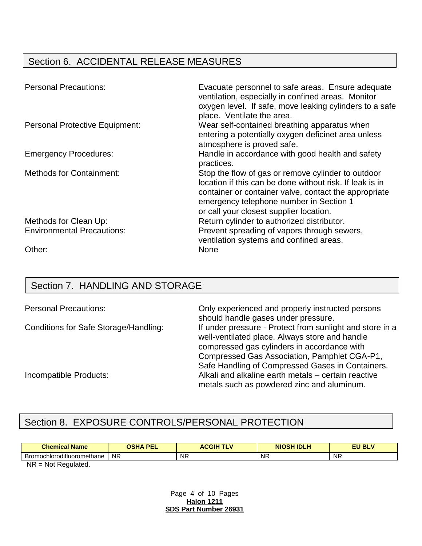## Section 6. ACCIDENTAL RELEASE MEASURES

| <b>Personal Precautions:</b>          | Evacuate personnel to safe areas. Ensure adequate<br>ventilation, especially in confined areas. Monitor<br>oxygen level. If safe, move leaking cylinders to a safe<br>place. Ventilate the area.                                                              |
|---------------------------------------|---------------------------------------------------------------------------------------------------------------------------------------------------------------------------------------------------------------------------------------------------------------|
| <b>Personal Protective Equipment:</b> | Wear self-contained breathing apparatus when<br>entering a potentially oxygen deficinet area unless<br>atmosphere is proved safe.                                                                                                                             |
| <b>Emergency Procedures:</b>          | Handle in accordance with good health and safety<br>practices.                                                                                                                                                                                                |
| <b>Methods for Containment:</b>       | Stop the flow of gas or remove cylinder to outdoor<br>location if this can be done without risk. If leak is in<br>container or container valve, contact the appropriate<br>emergency telephone number in Section 1<br>or call your closest supplier location. |
| Methods for Clean Up:                 | Return cylinder to authorized distributor.                                                                                                                                                                                                                    |
| <b>Environmental Precautions:</b>     | Prevent spreading of vapors through sewers,<br>ventilation systems and confined areas.                                                                                                                                                                        |
| Other:                                | None                                                                                                                                                                                                                                                          |

## Section 7. HANDLING AND STORAGE

| <b>Personal Precautions:</b>          | Only experienced and properly instructed persons         |
|---------------------------------------|----------------------------------------------------------|
|                                       | should handle gases under pressure.                      |
| Conditions for Safe Storage/Handling: | If under pressure - Protect from sunlight and store in a |
|                                       | well-ventilated place. Always store and handle           |
|                                       | compressed gas cylinders in accordance with              |
|                                       | Compressed Gas Association, Pamphlet CGA-P1,             |
|                                       | Safe Handling of Compressed Gases in Containers.         |
| Incompatible Products:                | Alkali and alkaline earth metals – certain reactive      |
|                                       | metals such as powdered zinc and aluminum.               |

## Section 8. EXPOSURE CONTROLS/PERSONAL PROTECTION

| Bromochlorodifluoromethane<br><b>NR</b><br><b>NR</b><br><b>NR</b> | <b>NR</b> |
|-------------------------------------------------------------------|-----------|

NR = Not Regulated.

Page 4 of 10 Pages **Halon 1211 SDS Part Number 26931**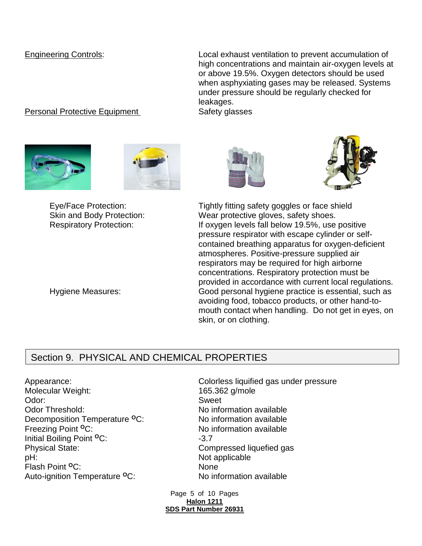Engineering Controls: Local exhaust ventilation to prevent accumulation of high concentrations and maintain air-oxygen levels at or above 19.5%. Oxygen detectors should be used when asphyxiating gases may be released. Systems under pressure should be regularly checked for leakages.

#### Personal Protective Equipment Safety glasses









Eye/Face Protection: Tightly fitting safety goggles or face shield Skin and Body Protection: Wear protective gloves, safety shoes. Respiratory Protection: If oxygen levels fall below 19.5%, use positive pressure respirator with escape cylinder or selfcontained breathing apparatus for oxygen-deficient atmospheres. Positive-pressure supplied air respirators may be required for high airborne concentrations. Respiratory protection must be provided in accordance with current local regulations. Hygiene Measures: Good personal hygiene practice is essential, such as avoiding food, tobacco products, or other hand-tomouth contact when handling. Do not get in eyes, on skin, or on clothing.

## Section 9. PHYSICAL AND CHEMICAL PROPERTIES

Appearance: Colorless liquified gas under pressure Molecular Weight: 165.362 g/mole Odor: Sweet Odor Threshold: No information available Decomposition Temperature <sup>o</sup>C: No information available Freezing Point <sup>o</sup>C: No information available Initial Boiling Point <sup>O</sup>C: 43.7 Physical State: Compressed liquefied gas pH:  $P$  Not applicable Flash Point <sup>o</sup>C: None Auto-ignition Temperature <sup>o</sup>C: No information available

Page 5 of 10 Pages **Halon 1211 SDS Part Number 26931**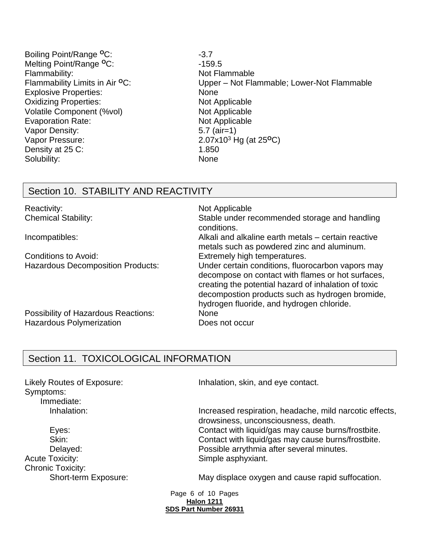- Boiling Point/Range <sup>o</sup>C: 43.7 Melting Point/Range <sup>o</sup>C: 459.5 Flammability: Not Flammable Explosive Properties: None Oxidizing Properties: Not Applicable Volatile Component (%vol) Not Applicable Evaporation Rate: Not Applicable Vapor Density: 5.7 (air=1) Vapor Pressure: 2.07x10<sup>3</sup> Hg (at 25<sup>o</sup>C) Density at 25 C: 1.850 Solubility: None
- Flammability Limits in Air <sup>o</sup>C: Upper Not Flammable; Lower-Not Flammable

## Section 10. STABILITY AND REACTIVITY

| Reactivity:                              | Not Applicable                                                                                                                                                                                                                                                 |
|------------------------------------------|----------------------------------------------------------------------------------------------------------------------------------------------------------------------------------------------------------------------------------------------------------------|
| <b>Chemical Stability:</b>               | Stable under recommended storage and handling<br>conditions.                                                                                                                                                                                                   |
| Incompatibles:                           | Alkali and alkaline earth metals – certain reactive<br>metals such as powdered zinc and aluminum.                                                                                                                                                              |
| Conditions to Avoid:                     | Extremely high temperatures.                                                                                                                                                                                                                                   |
| <b>Hazardous Decomposition Products:</b> | Under certain conditions, fluorocarbon vapors may<br>decompose on contact with flames or hot surfaces,<br>creating the potential hazard of inhalation of toxic<br>decompostion products such as hydrogen bromide,<br>hydrogen fluoride, and hydrogen chloride. |
| Possibility of Hazardous Reactions:      | None                                                                                                                                                                                                                                                           |
| <b>Hazardous Polymerization</b>          | Does not occur                                                                                                                                                                                                                                                 |

## Section 11. TOXICOLOGICAL INFORMATION

Symptoms: Immediate:

Acute Toxicity: Simple asphyxiant. Chronic Toxicity:

Likely Routes of Exposure: Inhalation, skin, and eye contact.

Inhalation: Increased respiration, headache, mild narcotic effects, drowsiness, unconsciousness, death. Eyes: Contact with liquid/gas may cause burns/frostbite. Skin: Skin: Skin: Contact with liquid/gas may cause burns/frostbite. Delayed: Possible arrythmia after several minutes.

Short-term Exposure: May displace oxygen and cause rapid suffocation.

Page 6 of 10 Pages **Halon 1211 SDS Part Number 26931**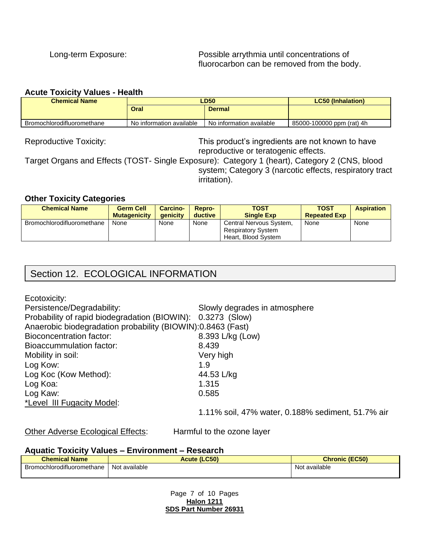#### **Acute Toxicity Values - Health**

| <b>Chemical Name</b>       | LD50                     |                          | <b>LC50 (Inhalation)</b>  |
|----------------------------|--------------------------|--------------------------|---------------------------|
|                            | <b>Oral</b>              | <b>Dermal</b>            |                           |
| Bromochlorodifluoromethane | No information available | No information available | 85000-100000 ppm (rat) 4h |

Reproductive Toxicity: This product's ingredients are not known to have reproductive or teratogenic effects.

Target Organs and Effects (TOST- Single Exposure): Category 1 (heart), Category 2 (CNS, blood system; Category 3 (narcotic effects, respiratory tract irritation).

#### **Other Toxicity Categories**

| <b>Chemical Name</b>              | <b>Germ Cell</b><br><b>Mutagenicity</b> | <b>Carcino-</b><br><b>aenicity</b> | Repro-<br>ductive | <b>TOST</b><br><b>Single Exp</b>                                            | <b>TOST</b><br><b>Repeated Exp</b> | <b>Aspiration</b> |
|-----------------------------------|-----------------------------------------|------------------------------------|-------------------|-----------------------------------------------------------------------------|------------------------------------|-------------------|
| <b>Bromochlorodifluoromethane</b> | None                                    | None                               | None              | Central Nervous System,<br><b>Respiratory System</b><br>Heart. Blood System | None                               | None              |

## Section 12. ECOLOGICAL INFORMATION

Ecotoxicity:

| Persistence/Degradability:                                  | Slowly degrades in atmosphere                     |
|-------------------------------------------------------------|---------------------------------------------------|
| Probability of rapid biodegradation (BIOWIN): 0.3273 (Slow) |                                                   |
| Anaerobic biodegradation probability (BIOWIN):0.8463 (Fast) |                                                   |
| Bioconcentration factor:                                    | 8.393 L/kg (Low)                                  |
| Bioaccummulation factor:                                    | 8.439                                             |
| Mobility in soil:                                           | Very high                                         |
| Log Kow:                                                    | 1.9                                               |
| Log Koc (Kow Method):                                       | 44.53 L/kg                                        |
| Log Koa:                                                    | 1.315                                             |
| Log Kaw:                                                    | 0.585                                             |
| *Level III Fugacity Model:                                  |                                                   |
|                                                             | 1.11% soil, 47% water, 0.188% sediment, 51.7% air |

Other Adverse Ecological Effects: Harmful to the ozone layer

#### **Aquatic Toxicity Values – Environment – Research**

| <b>Chemical Name</b>       | <b>Acute (LC50)</b> | <b>Chronic (EC50)</b> |
|----------------------------|---------------------|-----------------------|
| Bromochlorodifluoromethane | Not available       | Not available         |

Page 7 of 10 Pages **Halon 1211 SDS Part Number 26931**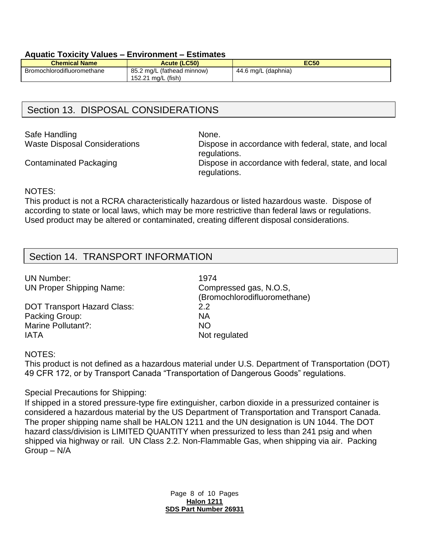#### **Aquatic Toxicity Values – Environment – Estimates**

| <b>Chemical Name</b>       | <b>Acute (LC50)</b>                              | <b>EC50</b>         |
|----------------------------|--------------------------------------------------|---------------------|
| Bromochlorodifluoromethane | 85.2 mg/L (fathead minnow)<br>152.21 mg/L (fish) | 44.6 mg/L (daphnia) |

## Section 13. DISPOSAL CONSIDERATIONS

Safe Handling None.

Waste Disposal Considerations Dispose in accordance with federal, state, and local regulations.

Contaminated Packaging Dispose in accordance with federal, state, and local regulations.

#### NOTES:

This product is not a RCRA characteristically hazardous or listed hazardous waste. Dispose of according to state or local laws, which may be more restrictive than federal laws or regulations. Used product may be altered or contaminated, creating different disposal considerations.

## Section 14. TRANSPORT INFORMATION

UN Number: 1974 UN Proper Shipping Name: Compressed gas, N.O.S,

DOT Transport Hazard Class: 2.2 Packing Group: NA Marine Pollutant?: NO IATA Not regulated

(Bromochlorodifluoromethane)

#### NOTES:

This product is not defined as a hazardous material under U.S. Department of Transportation (DOT) 49 CFR 172, or by Transport Canada "Transportation of Dangerous Goods" regulations.

#### Special Precautions for Shipping:

If shipped in a stored pressure-type fire extinguisher, carbon dioxide in a pressurized container is considered a hazardous material by the US Department of Transportation and Transport Canada. The proper shipping name shall be HALON 1211 and the UN designation is UN 1044. The DOT hazard class/division is LIMITED QUANTITY when pressurized to less than 241 psig and when shipped via highway or rail. UN Class 2.2. Non-Flammable Gas, when shipping via air. Packing Group – N/A

> Page 8 of 10 Pages **Halon 1211 SDS Part Number 26931**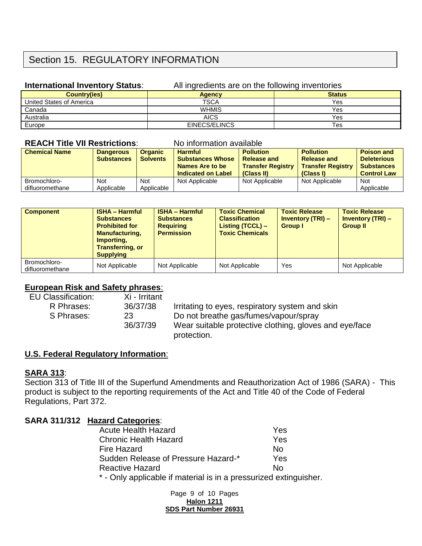## Section 15. REGULATORY INFORMATION

### **International Inventory Status:** All ingredients are on the following inventories

| <b>Country(ies)</b>      | <b>Agency</b> | <b>Status</b> |
|--------------------------|---------------|---------------|
| United States of America | <b>TSCA</b>   | Yes           |
| Canada                   | <b>WHMIS</b>  | Yes           |
| Australia                | <b>AICS</b>   | Yes           |
| Europe                   | EINECS/ELINCS | <b>Tes</b>    |

#### **REACH Title VII Restrictions:** No information available

| <b>Chemical Name</b> | <b>Dangerous</b><br><b>Substances</b> | <b>Organic</b><br><b>Solvents</b> | <b>Harmful</b><br><b>Substances Whose</b><br>Names Are to be<br>Indicated on Label | <b>Pollution</b><br><b>Release and</b><br><b>Transfer Registry</b><br>(Class II) | <b>Pollution</b><br><b>Release and</b><br><b>Transfer Registry</b><br>(Class I) | <b>Poison and</b><br><b>Deleterious</b><br><b>Substances</b><br><b>Control Law</b> |
|----------------------|---------------------------------------|-----------------------------------|------------------------------------------------------------------------------------|----------------------------------------------------------------------------------|---------------------------------------------------------------------------------|------------------------------------------------------------------------------------|
| Bromochloro-         | Not                                   | <b>Not</b>                        | Not Applicable                                                                     | Not Applicable                                                                   | Not Applicable                                                                  | <b>Not</b>                                                                         |
| difluoromethane      | Applicable                            | Applicable                        |                                                                                    |                                                                                  |                                                                                 | Applicable                                                                         |

| <b>Component</b>                | <b>ISHA - Harmful</b><br><b>Substances</b><br><b>Prohibited for</b><br><b>Manufacturing,</b><br>Importing.<br><b>Transferring, or</b><br><b>Supplying</b> | <b>ISHA - Harmful</b><br><b>Substances</b><br><b>Requiring</b><br><b>Permission</b> | <b>Toxic Chemical</b><br><b>Classification</b><br>Listing (TCCL) –<br><b>Toxic Chemicals</b> | <b>Toxic Release</b><br><b>Inventory (TRI) –</b><br><b>Group I</b> | <b>Toxic Release</b><br><b>Inventory (TRI) –</b><br><b>Group II</b> |
|---------------------------------|-----------------------------------------------------------------------------------------------------------------------------------------------------------|-------------------------------------------------------------------------------------|----------------------------------------------------------------------------------------------|--------------------------------------------------------------------|---------------------------------------------------------------------|
| Bromochloro-<br>difluoromethane | Not Applicable                                                                                                                                            | Not Applicable                                                                      | Not Applicable                                                                               | Yes                                                                | Not Applicable                                                      |

### **European Risk and Safety phrases**:

| <b>EU Classification:</b> | Xi - Irritant |                                                        |
|---------------------------|---------------|--------------------------------------------------------|
| R Phrases:                | 36/37/38      | Irritating to eyes, respiratory system and skin        |
| S Phrases:                | 23            | Do not breathe gas/fumes/vapour/spray                  |
|                           | 36/37/39      | Wear suitable protective clothing, gloves and eye/face |
|                           |               | protection.                                            |

### **U.S. Federal Regulatory Information**:

#### **SARA 313**:

Section 313 of Title III of the Superfund Amendments and Reauthorization Act of 1986 (SARA) - This product is subject to the reporting requirements of the Act and Title 40 of the Code of Federal Regulations, Part 372.

### **SARA 311/312 Hazard Categories**:

| <b>Acute Health Hazard</b>                                     | Yes |
|----------------------------------------------------------------|-----|
| <b>Chronic Health Hazard</b>                                   | Yes |
| <b>Fire Hazard</b>                                             | N٥  |
| Sudden Release of Pressure Hazard-*                            | Yes |
| <b>Reactive Hazard</b>                                         | N٥  |
| * Only applicable if material is in a pressurized extinguished |     |

- Only applicable if material is in a pressurized extinguisher.

Page 9 of 10 Pages **Halon 1211 SDS Part Number 26931**